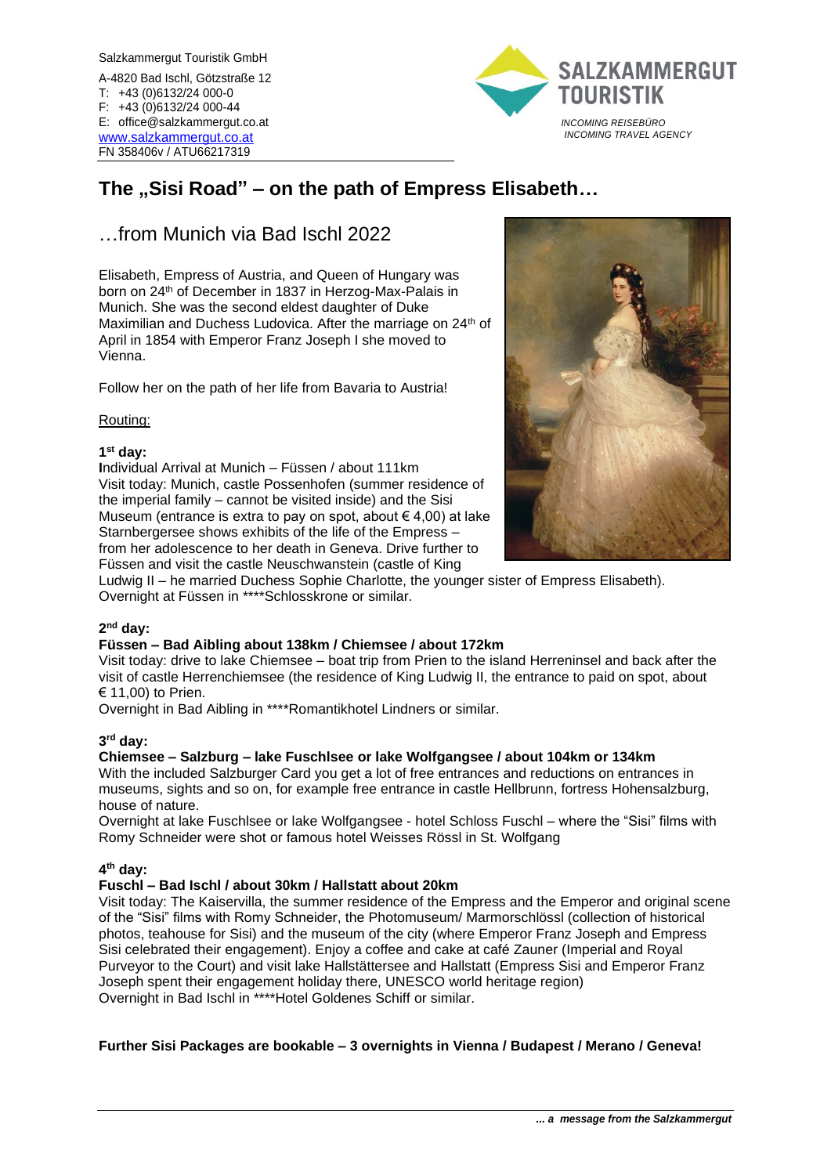Salzkammergut Touristik GmbH A-4820 Bad Ischl, Götzstraße 12 T: +43 (0)6132/24 000-0 F: +43 (0)6132/24 000-44 E: office@salzkammergut.co.at [www.salzkammergut.co.at](http://www.salzkammergut.co.at/) FN 358406v / ATU66217319



# **The "Sisi Road" – on the path of Empress Elisabeth…**

# …from Munich via Bad Ischl 2022

Elisabeth, Empress of Austria, and Queen of Hungary was born on 24th of December in 1837 in Herzog-Max-Palais in Munich. She was the second eldest daughter of Duke Maximilian and Duchess Ludovica. After the marriage on 24<sup>th</sup> of April in 1854 with Emperor Franz Joseph I she moved to Vienna.

Follow her on the path of her life from Bavaria to Austria!

### Routing:

### **1 st day:**

**I**ndividual Arrival at Munich – Füssen / about 111km Visit today: Munich, castle Possenhofen (summer residence of the imperial family – cannot be visited inside) and the Sisi Museum (entrance is extra to pay on spot, about  $\in$  4,00) at lake Starnbergersee shows exhibits of the life of the Empress – from her adolescence to her death in Geneva. Drive further to Füssen and visit the castle Neuschwanstein (castle of King



Ludwig II – he married Duchess Sophie Charlotte, the younger sister of Empress Elisabeth). Overnight at Füssen in \*\*\*\*Schlosskrone or similar.

#### **2 nd day:**

# **Füssen – Bad Aibling about 138km / Chiemsee / about 172km**

Visit today: drive to lake Chiemsee – boat trip from Prien to the island Herreninsel and back after the visit of castle Herrenchiemsee (the residence of King Ludwig II, the entrance to paid on spot, about € 11,00) to Prien.

Overnight in Bad Aibling in \*\*\*\*Romantikhotel Lindners or similar.

#### **3 rd day:**

#### **Chiemsee – Salzburg – lake Fuschlsee or lake Wolfgangsee / about 104km or 134km**

With the included Salzburger Card you get a lot of free entrances and reductions on entrances in museums, sights and so on, for example free entrance in castle Hellbrunn, fortress Hohensalzburg, house of nature.

Overnight at lake Fuschlsee or lake Wolfgangsee - hotel Schloss Fuschl – where the "Sisi" films with Romy Schneider were shot or famous hotel Weisses Rössl in St. Wolfgang

# **4 th day:**

# **Fuschl – Bad Ischl / about 30km / Hallstatt about 20km**

Visit today: The Kaiservilla, the summer residence of the Empress and the Emperor and original scene of the "Sisi" films with Romy Schneider, the Photomuseum/ Marmorschlössl (collection of historical photos, teahouse for Sisi) and the museum of the city (where Emperor Franz Joseph and Empress Sisi celebrated their engagement). Enjoy a coffee and cake at café Zauner (Imperial and Royal Purveyor to the Court) and visit lake Hallstättersee and Hallstatt (Empress Sisi and Emperor Franz Joseph spent their engagement holiday there, UNESCO world heritage region) Overnight in Bad Ischl in \*\*\*\*Hotel Goldenes Schiff or similar.

# **Further Sisi Packages are bookable – 3 overnights in Vienna / Budapest / Merano / Geneva!**